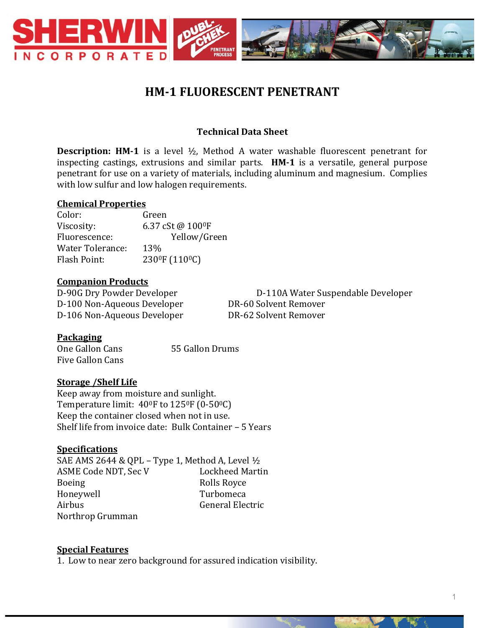

# **HM-1 FLUORESCENT PENETRANT**

## **Technical Data Sheet**

**Description: HM-1** is a level ½, Method A water washable fluorescent penetrant for inspecting castings, extrusions and similar parts. **HM-1** is a versatile, general purpose penetrant for use on a variety of materials, including aluminum and magnesium. Complies with low sulfur and low halogen requirements.

#### **Chemical Properties**

Color: Green Viscosity: 6.37 cSt @ 100<sup>0</sup>F Fluorescence: Yellow/Green Water Tolerance: 13% Flash Point: 230<sup>0</sup>F (110<sup>0</sup>C)

#### **Companion Products**

D-100 Non-Aqueous Developer DR-60 Solvent Remover D-106 Non-Aqueous Developer DR-62 Solvent Remover

D-90G Dry Powder Developer D-110A Water Suspendable Developer

#### **Packaging**

One Gallon Cans 55 Gallon Drums Five Gallon Cans

## **Storage /Shelf Life**

Keep away from moisture and sunlight. Temperature limit: 400F to 1250F (0-500C) Keep the container closed when not in use. Shelf life from invoice date: Bulk Container – 5 Years

#### **Specifications**

SAE AMS 2644 & QPL – Type 1, Method A, Level  $\frac{1}{2}$ ASME Code NDT, Sec V Lockheed Martin Boeing Rolls Royce Honeywell Turbomeca Airbus General Electric Northrop Grumman

#### **Special Features**

1. Low to near zero background for assured indication visibility.